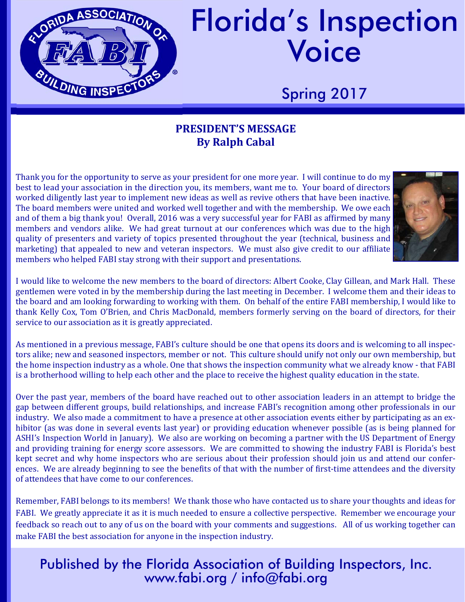

# Florida's Inspection Voice

Spring 2017

#### **PRESIDENT'S MESSAGE By Ralph Cabal**

Thank you for the opportunity to serve as your president for one more year. I will continue to do my best to lead your association in the direction you, its members, want me to. Your board of directors worked diligently last year to implement new ideas as well as revive others that have been inactive. The board members were united and worked well together and with the membership. We owe each and of them a big thank you! Overall, 2016 was a very successful year for FABI as affirmed by many members and vendors alike. We had great turnout at our conferences which was due to the high quality of presenters and variety of topics presented throughout the year (technical, business and marketing) that appealed to new and veteran inspectors. We must also give credit to our affiliate members who helped FABI stay strong with their support and presentations.



I would like to welcome the new members to the board of directors: Albert Cooke, Clay Gillean, and Mark Hall. These gentlemen were voted in by the membership during the last meeting in December. I welcome them and their ideas to the board and am looking forwarding to working with them. On behalf of the entire FABI membership, I would like to thank Kelly Cox, Tom O'Brien, and Chris MacDonald, members formerly serving on the board of directors, for their service to our association as it is greatly appreciated.

As mentioned in a previous message, FABI's culture should be one that opens its doors and is welcoming to all inspectors alike; new and seasoned inspectors, member or not. This culture should unify not only our own membership, but the home inspection industry as a whole. One that shows the inspection community what we already know - that FABI is a brotherhood willing to help each other and the place to receive the highest quality education in the state.

Over the past year, members of the board have reached out to other association leaders in an attempt to bridge the gap between different groups, build relationships, and increase FABI's recognition among other professionals in our industry. We also made a commitment to have a presence at other association events either by participating as an exhibitor (as was done in several events last year) or providing education whenever possible (as is being planned for ASHI's Inspection World in January). We also are working on becoming a partner with the US Department of Energy and providing training for energy score assessors. We are committed to showing the industry FABI is Florida's best kept secret and why home inspectors who are serious about their profession should join us and attend our conferences. We are already beginning to see the benefits of that with the number of first-time attendees and the diversity of attendees that have come to our conferences.

Remember, FABI belongs to its members! We thank those who have contacted us to share your thoughts and ideas for FABI. We greatly appreciate it as it is much needed to ensure a collective perspective. Remember we encourage your feedback so reach out to any of us on the board with your comments and suggestions. All of us working together can make FABI the best association for anyone in the inspection industry.

#### Published by the Florida Association of Building Inspectors, Inc. www.fabi.org / info@fabi.org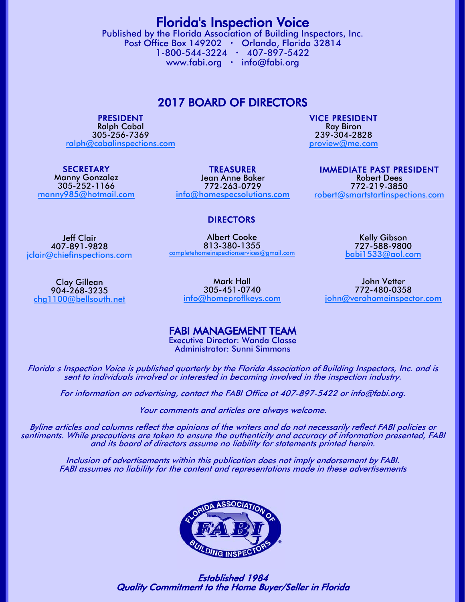Florida's Inspection Voice Published by the Florida Association of Building Inspectors, Inc. Post Office Box 149202 · Orlando, Florida 32814 1-800-544-3224 407-897-5422 www.fabi.org · info@fabi.org

2017 BOARD OF DIRECTORS

PRESIDENT

Ralph Cabal 305-256-7369 ralph@cabalinspections.com

**SECRETARY** Manny Gonzalez 305-252-1166 manny985@hotmail.com

TREASURER Jean Anne Baker 772-263-0729 info@homespecsolutions.com IMMEDIATE PAST PRESIDENT Robert Dees 772-219-3850

VICE PRESIDENT Ray Biron 239-304-2828 proview@me.com

robert@smartstartinspections.com

#### DIRECTORS

Albert Cooke 813-380-1355 completehomeinspectionservices@gmail.com

Jeff Clair 407-891-9828 jclair@chiefinspections.com

Clay Gillean 904-268-3235 chg1100@bellsouth.net

Mark Hall 305-451-0740

info@homeproflkeys.com

John Vetter 772-480-0358 john@verohomeinspector.com

Kelly Gibson 727-588-9800 babi1533@aol.com

FABI MANAGEMENT TEAM

Executive Director: Wanda Classe Administrator: Sunni Simmons

Floridas Inspection Voice is published quarterly by the Florida Association of Building Inspectors, Inc. and is sent to individuals involved or interested in becoming involved in the inspection industry.

For information on advertising, contact the FABI Office at 407-897-5422 or info@fabi.org.

Your comments and articles are always welcome.

Byline articles and columns reflect the opinions of the writers and do not necessarily reflect FABI policies or sentiments. While precautions are taken to ensure the authenticity and accuracy of information presented, FABI and its board of directors assume no liability for statements printed herein.

Inclusion of advertisements within this publication does not imply endorsement by FABI. FABI assumes no liability for the content and representations made in these advertisements



 Established 1984 Quality Commitment to the Home Buyer/Seller in Florida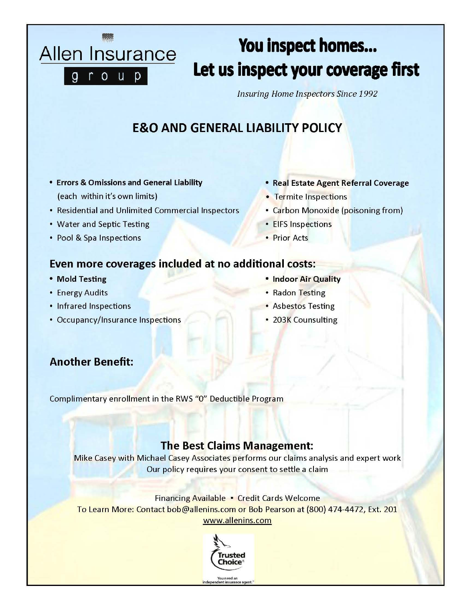## You inspect homes... Let us inspect your coverage first

**Insuring Home Inspectors Since 1992** 

### **E&O AND GENERAL LIABILITY POLICY**

- **Errors & Omissions and General Liability** (each within it's own limits)
- Residential and Unlimited Commercial Inspectors
- Water and Septic Testing

Allen Insurance

rou

 $\overline{g}$ 

 $\mathsf{D}$ 

• Pool & Spa Inspections

- · Real Estate Agent Referral Coverage
- Termite Inspections
- Carbon Monoxide (poisoning from)
- EIFS Inspections
- Prior Acts

#### Even more coverages included at no additional costs:

- Mold Testing
- Energy Audits
- Infrared Inspections
- Occupancy/Insurance Inspections
- . Indoor Air Quality
- Radon Testing
- Asbestos Testing
- 203K Counsulting

#### **Another Benefit:**

Complimentary enrollment in the RWS "O" Deductible Program

#### **The Best Claims Management:**

Mike Casey with Michael Casey Associates performs our claims analysis and expert work Our policy requires your consent to settle a claim

Financing Available . Credit Cards Welcome To Learn More: Contact bob@allenins.com or Bob Pearson at (800) 474-4472, Ext. 201 www.allenins.com



You need an<br>endent insurance ager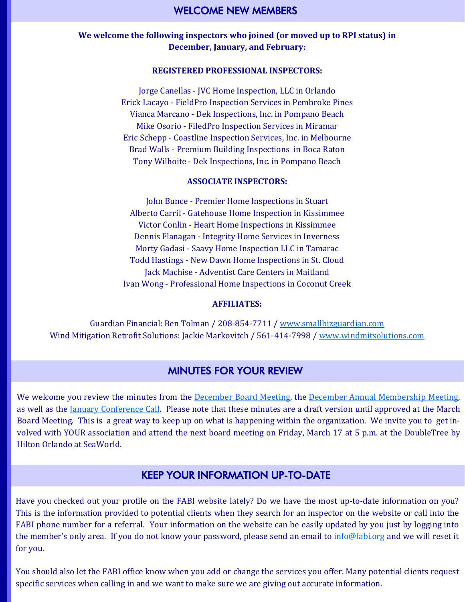#### **We welcome the following inspectors who joined (or moved up to RPI status) in December, January, and February:**

#### **REGISTERED PROFESSIONAL INSPECTORS:**

Jorge Canellas - JVC Home Inspection, LLC in Orlando Erick Lacayo - FieldPro Inspection Services in Pembroke Pines Vianca Marcano - Dek Inspections, Inc. in Pompano Beach Mike Osorio - FiledPro Inspection Services in Miramar Eric Schepp - Coastline Inspection Services, Inc. in Melbourne Brad Walls - Premium Building Inspections in Boca Raton Tony Wilhoite - Dek Inspections, Inc. in Pompano Beach

#### **ASSOCIATE INSPECTORS:**

John Bunce - Premier Home Inspections in Stuart Alberto Carril - Gatehouse Home Inspection in Kissimmee Victor Conlin - Heart Home Inspections in Kissimmee Dennis Flanagan - Integrity Home Services in Inverness Morty Gadasi - Saavy Home Inspection LLC in Tamarac Todd Hastings - New Dawn Home Inspections in St. Cloud Jack Machise - Adventist Care Centers in Maitland Ivan Wong - Professional Home Inspections in Coconut Creek

#### **AFFILIATES:**

Guardian Financial: Ben Tolman / 208-854-7711 / www.smallbizguardian.com Wind Mitigation Retrofit Solutions: Jackie Markovitch / 561-414-7998 / www.windmitsolutions.com

#### MINUTES FOR YOUR REVIEW

We welcome you review the minutes from the December Board Meeting, the December Annual Membership Meeting, as well as the <u>January Conference Call</u>. Please note that these minutes are a draft version until approved at the March Board Meeting. This is a great way to keep up on what is happening within the organization. We invite you to get involved with YOUR association and attend the next board meeting on Friday, March 17 at 5 p.m. at the DoubleTree by Hilton Orlando at SeaWorld.

#### KEEP YOUR INFORMATION UP-TO-DATE

Have you checked out your profile on the FABI website lately? Do we have the most up-to-date information on you? This is the information provided to potential clients when they search for an inspector on the website or call into the FABI phone number for a referral. Your information on the website can be easily updated by you just by logging into the member's only area. If you do not know your password, please send an email to info@fabi.org and we will reset it for you.

You should also let the FABI office know when you add or change the services you offer. Many potential clients request specific services when calling in and we want to make sure we are giving out accurate information.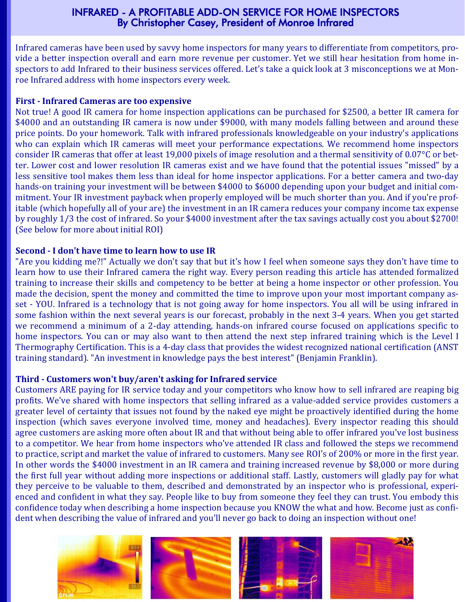#### INFRARED - A PROFITABLE ADD-ON SERVICE FOR HOME INSPECTORS By Christopher Casey, President of Monroe Infrared

Infrared cameras have been used by savvy home inspectors for many years to differentiate from competitors, provide a better inspection overall and earn more revenue per customer. Yet we still hear hesitation from home inspectors to add Infrared to their business services offered. Let's take a quick look at 3 misconceptions we at Monroe Infrared address with home inspectors every week.

#### **First ‐ Infrared Cameras are too expensive**

Not true! A good IR camera for home inspection applications can be purchased for \$2500, a better IR camera for \$4000 and an outstanding IR camera is now under \$9000, with many models falling between and around these price points. Do your homework. Talk with infrared professionals knowledgeable on your industry's applications who can explain which IR cameras will meet your performance expectations. We recommend home inspectors consider IR cameras that offer at least 19,000 pixels of image resolution and a thermal sensitivity of  $0.07^{\circ}$ C or better. Lower cost and lower resolution IR cameras exist and we have found that the potential issues "missed" by a less sensitive tool makes them less than ideal for home inspector applications. For a better camera and two-day hands-on training your investment will be between \$4000 to \$6000 depending upon your budget and initial commitment. Your IR investment payback when properly employed will be much shorter than you. And if you're profitable (which hopefully all of your are) the investment in an IR camera reduces your company income tax expense by roughly 1/3 the cost of infrared. So your \$4000 investment after the tax savings actually cost you about \$2700! (See below for more about initial ROI)

#### **Second ‐ I don't have time to learn how to use IR**

"Are you kidding me?!" Actually we don't say that but it's how I feel when someone says they don't have time to learn how to use their Infrared camera the right way. Every person reading this article has attended formalized training to increase their skills and competency to be better at being a home inspector or other profession. You made the decision, spent the money and committed the time to improve upon your most important company asset - YOU. Infrared is a technology that is not going away for home inspectors. You all will be using infrared in some fashion within the next several years is our forecast, probably in the next 3-4 years. When you get started we recommend a minimum of a 2-day attending, hands-on infrared course focused on applications specific to home inspectors. You can or may also want to then attend the next step infrared training which is the Level I Thermography Certification. This is a 4-day class that provides the widest recognized national certification (ANST training standard). "An investment in knowledge pays the best interest" (Benjamin Franklin).

#### **Third ‐ Customers won't buy/aren't asking for Infrared service**

Customers ARE paying for IR service today and your competitors who know how to sell infrared are reaping big profits. We've shared with home inspectors that selling infrared as a value-added service provides customers a greater level of certainty that issues not found by the naked eye might be proactively identified during the home inspection (which saves everyone involved time, money and headaches). Every inspector reading this should agree customers are asking more often about IR and that without being able to offer infrared you've lost business to a competitor. We hear from home inspectors who've attended IR class and followed the steps we recommend to practice, script and market the value of infrared to customers. Many see ROI's of 200% or more in the first year. In other words the \$4000 investment in an IR camera and training increased revenue by \$8,000 or more during the first full year without adding more inspections or additional staff. Lastly, customers will gladly pay for what they perceive to be valuable to them, described and demonstrated by an inspector who is professional, experienced and confident in what they say. People like to buy from someone they feel they can trust. You embody this confidence today when describing a home inspection because you KNOW the what and how. Become just as confident when describing the value of infrared and you'll never go back to doing an inspection without one!

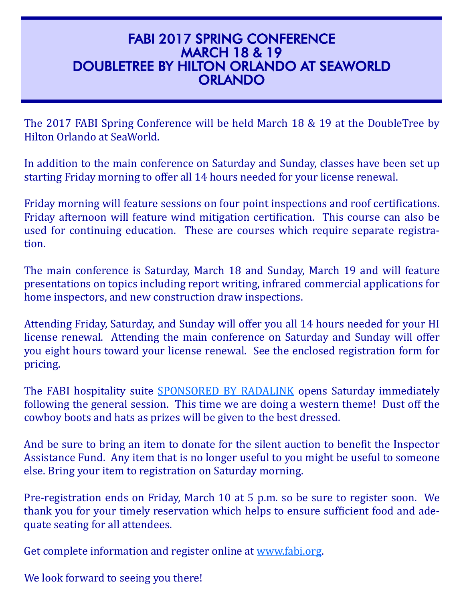#### FABI 2017 SPRING CONFERENCE MARCH 18 & 19 DOUBLETREE BY HILTON ORLANDO AT SEAWORLD **ORLANDO**

The 2017 FABI Spring Conference will be held March 18 & 19 at the DoubleTree by Hilton Orlando at SeaWorld.

In addition to the main conference on Saturday and Sunday, classes have been set up starting Friday morning to offer all 14 hours needed for your license renewal.

Friday morning will feature sessions on four point inspections and roof certifications. Friday afternoon will feature wind mitigation certification. This course can also be used for continuing education. These are courses which require separate registration. 

The main conference is Saturday, March 18 and Sunday, March 19 and will feature presentations on topics including report writing, infrared commercial applications for home inspectors, and new construction draw inspections.

Attending Friday, Saturday, and Sunday will offer you all 14 hours needed for your HI license renewal. Attending the main conference on Saturday and Sunday will offer you eight hours toward your license renewal. See the enclosed registration form for pricing. 

The FABI hospitality suite **SPONSORED BY RADALINK** opens Saturday immediately following the general session. This time we are doing a western theme! Dust off the cowboy boots and hats as prizes will be given to the best dressed.

And be sure to bring an item to donate for the silent auction to benefit the Inspector Assistance Fund. Any item that is no longer useful to you might be useful to someone else. Bring your item to registration on Saturday morning.

Pre-registration ends on Friday, March 10 at 5 p.m. so be sure to register soon. We thank you for your timely reservation which helps to ensure sufficient food and adequate seating for all attendees.

Get complete information and register online at www.fabi.org.

We look forward to seeing you there!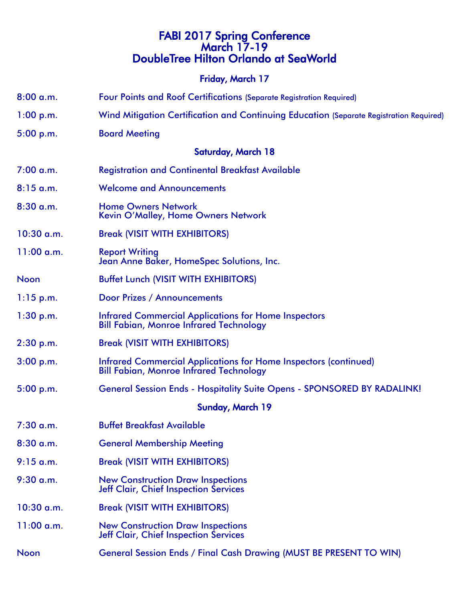### FABI 2017 Spring Conference March 17-19 DoubleTree Hilton Orlando at SeaWorld Friday, March 17

- 8:00 a.m. Four Points and Roof Certifications (Separate Registration Required)
- 1:00 p.m. Wind Mitigation Certification and Continuing Education (Separate Registration Required)
- 5:00 p.m. Board Meeting

#### Saturday, March 18

- 7:00 a.m. Registration and Continental Breakfast Available
- 8:15 a.m. Welcome and Announcements
- 8:30 a.m. Home Owners Network Kevin O'Malley, Home Owners Network
- 10:30 a.m. Break (VISIT WITH EXHIBITORS)
- 11:00 a.m. Report Writing Jean Anne Baker, HomeSpec Solutions, Inc.
- Noon Buffet Lunch (VISIT WITH EXHIBITORS)
- 1:15 p.m. Door Prizes / Announcements
- 1:30 p.m. Infrared Commercial Applications for Home Inspectors Bill Fabian, Monroe Infrared Technology
- 2:30 p.m. Break (VISIT WITH EXHIBITORS)
- 3:00 p.m. Infrared Commercial Applications for Home Inspectors (continued) Bill Fabian, Monroe Infrared Technology
- 5:00 p.m. General Session Ends Hospitality Suite Opens SPONSORED BY RADALINK!

#### Sunday, March 19

- 7:30 a.m. Buffet Breakfast Available
- 8:30 a.m. General Membership Meeting
- 9:15 a.m. Break (VISIT WITH EXHIBITORS)
- 9:30 a.m. New Construction Draw Inspections Jeff Clair, Chief Inspection Services
- 10:30 a.m. Break (VISIT WITH EXHIBITORS)
- 11:00 a.m. New Construction Draw Inspections Jeff Clair, Chief Inspection Services
- Noon General Session Ends / Final Cash Drawing (MUST BE PRESENT TO WIN)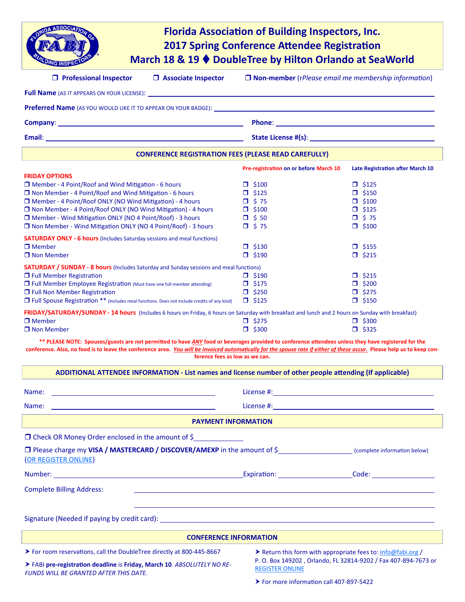| <b>ASSOCIATIO</b>                                                                                                                                                       |                                | <b>Florida Association of Building Inspectors, Inc.</b><br><b>2017 Spring Conference Attendee Registration</b><br>March 18 & 19 ♦ DoubleTree by Hilton Orlando at SeaWorld |                                         |  |
|-------------------------------------------------------------------------------------------------------------------------------------------------------------------------|--------------------------------|----------------------------------------------------------------------------------------------------------------------------------------------------------------------------|-----------------------------------------|--|
| $\Box$ Professional Inspector                                                                                                                                           | $\Box$ Associate Inspector     | $\Box$ Non-member (rPlease email me membership information)                                                                                                                |                                         |  |
| <b>Full Name</b> (AS IT APPEARS ON YOUR LICENSE): <b>Analyzing the Community of Algebra 2013</b>                                                                        |                                |                                                                                                                                                                            |                                         |  |
| <b>Preferred Name</b> (AS YOU WOULD LIKE IT TO APPEAR ON YOUR BADGE):                                                                                                   |                                |                                                                                                                                                                            |                                         |  |
|                                                                                                                                                                         |                                |                                                                                                                                                                            |                                         |  |
| Email: <b>Example 2018</b> and 2018 and 2018 and 2018 and 2018 and 2018 and 2018 and 2018 and 2018 and 2018 and 2018                                                    |                                |                                                                                                                                                                            |                                         |  |
|                                                                                                                                                                         |                                | <b>CONFERENCE REGISTRATION FEES (PLEASE READ CAREFULLY)</b>                                                                                                                |                                         |  |
|                                                                                                                                                                         |                                | Pre-registration on or before March 10                                                                                                                                     | <b>Late Registration after March 10</b> |  |
| <b>FRIDAY OPTIONS</b><br>□ Member - 4 Point/Roof and Wind Mitigation - 6 hours                                                                                          |                                | $\Box$ \$100                                                                                                                                                               | $\Box$ \$125                            |  |
| $\Box$ Non Member - 4 Point/Roof and Wind Mitigation - 6 hours                                                                                                          |                                | $\Box$ \$125                                                                                                                                                               | $\Box$ \$150                            |  |
| □ Member - 4 Point/Roof ONLY (NO Wind Mitigation) - 4 hours                                                                                                             |                                | $\Box$ \$75                                                                                                                                                                | $\Box$ \$100                            |  |
| □ Non Member - 4 Point/Roof ONLY (NO Wind Mitigation) - 4 hours                                                                                                         |                                | $\Box$ \$100                                                                                                                                                               | $\Box$ \$125                            |  |
| □ Member - Wind Mitigation ONLY (NO 4 Point/Roof) - 3 hours<br>□ Non Member - Wind Mitigation ONLY (NO 4 Point/Roof) - 3 hours                                          |                                | $\Box$ \$ 50                                                                                                                                                               | $\Box$ \$75                             |  |
|                                                                                                                                                                         |                                | $\Box$ \$75                                                                                                                                                                | $\Box$ \$100                            |  |
| <b>SATURDAY ONLY - 6 hours</b> (Includes Saturday sessions and meal functions)                                                                                          |                                |                                                                                                                                                                            |                                         |  |
| $\Box$ Member                                                                                                                                                           |                                | $\Box$ \$130                                                                                                                                                               | $\Box$ \$155                            |  |
| $\Box$ Non Member                                                                                                                                                       |                                | $\Box$ \$190                                                                                                                                                               | $\Box$ \$215                            |  |
| <b>SATURDAY / SUNDAY - 8 hours</b> (Includes Saturday and Sunday sessions and meal functions)                                                                           |                                |                                                                                                                                                                            |                                         |  |
| $\Box$ Full Member Registration<br>□ Full Member Employee Registration (Must have one full member attending)<br><b>T</b> Full Non Member Registration                   |                                | $\Box$ \$190                                                                                                                                                               | $\Box$ \$215                            |  |
|                                                                                                                                                                         |                                | $\Box$ \$175                                                                                                                                                               | $\Box$ \$200                            |  |
|                                                                                                                                                                         |                                | $\Box$ \$250                                                                                                                                                               | $\Box$ \$275                            |  |
| □ Full Spouse Registration ** (Includes meal functions. Does not include credits of any kind)                                                                           |                                | $\Box$ \$125                                                                                                                                                               | $\Box$ \$150                            |  |
| FRIDAY/SATURDAY/SUNDAY - 14 hours (Includes 6 hours on Friday, 6 hours on Saturday with breakfast and lunch and 2 hours on Sunday with breakfast)                       |                                |                                                                                                                                                                            |                                         |  |
| $\Box$ Member                                                                                                                                                           |                                | $\Box$ \$275                                                                                                                                                               | $\Box$ \$300                            |  |
| □ Non Member                                                                                                                                                            |                                | $\Box$ \$300                                                                                                                                                               | $\Box$ \$325                            |  |
| conference. Also, no food is to leave the conference area. You will be invoiced automatically for the spouse rate if either of these occur. Please help us to keep con- | ference fees as low as we can. | ** PLEASE NOTE: Spouses/guests are not permitted to have ANY food or beverages provided to conference attendees unless they have registered for the                        |                                         |  |
|                                                                                                                                                                         |                                | ADDITIONAL ATTENDEE INFORMATION - List names and license number of other people attending (If applicable)                                                                  |                                         |  |
| Name:<br><u> 1989 - Johann Stein, marwolaethau a bhann an t-Amhainn an t-Amhainn an t-Amhainn an t-Amhainn an t-Amhainn an</u>                                          |                                |                                                                                                                                                                            |                                         |  |
| <u> 1980 - Johann Stoff, fransk politik (d. 1980)</u><br>Name:                                                                                                          |                                |                                                                                                                                                                            |                                         |  |
|                                                                                                                                                                         | <b>PAYMENT INFORMATION</b>     |                                                                                                                                                                            |                                         |  |
| $\Box$ Check OR Money Order enclosed in the amount of \$                                                                                                                |                                |                                                                                                                                                                            |                                         |  |
| □ Please charge my VISA / MASTERCARD / DISCOVER/AMEXP in the amount of \$ (complete information below)<br>(OR REGISTER ONLINE)                                          |                                |                                                                                                                                                                            |                                         |  |
|                                                                                                                                                                         |                                |                                                                                                                                                                            |                                         |  |
| <b>Complete Billing Address:</b>                                                                                                                                        |                                |                                                                                                                                                                            |                                         |  |
|                                                                                                                                                                         |                                |                                                                                                                                                                            |                                         |  |
|                                                                                                                                                                         | <b>CONFERENCE INFORMATION</b>  |                                                                                                                                                                            |                                         |  |
| > For room reservations, call the DoubleTree directly at 800-445-8667                                                                                                   |                                | ▶ Return this form with appropriate fees to: info@fabi.org /                                                                                                               |                                         |  |
| > FABI pre-registration deadline is Friday, March 10. ABSOLUTELY NO RE-<br>FUNDS WILL BE GRANTED AFTER THIS DATE.                                                       |                                | P. O. Box 149202, Orlando, FL 32814-9202 / Fax 407-894-7673 or<br><b>REGISTER ONLINE</b>                                                                                   |                                         |  |

▶ For more information call 407-897-5422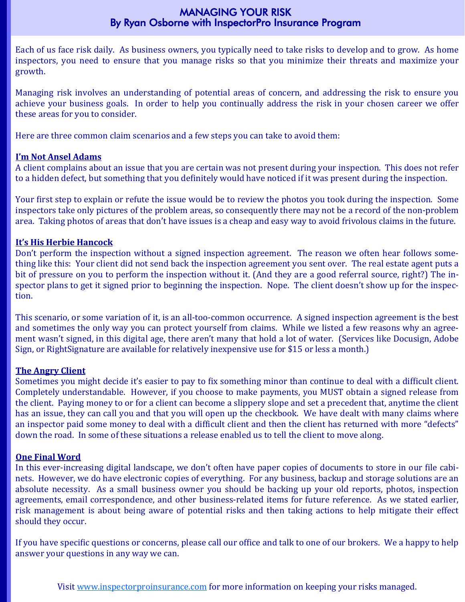#### MANAGING YOUR RISK By Ryan Osborne with InspectorPro Insurance Program

Each of us face risk daily. As business owners, you typically need to take risks to develop and to grow. As home inspectors, you need to ensure that you manage risks so that you minimize their threats and maximize your growth. 

Managing risk involves an understanding of potential areas of concern, and addressing the risk to ensure you achieve your business goals. In order to help you continually address the risk in your chosen career we offer these areas for you to consider.

Here are three common claim scenarios and a few steps you can take to avoid them:

#### **I'm Not Ansel Adams**

A client complains about an issue that you are certain was not present during your inspection. This does not refer to a hidden defect, but something that you definitely would have noticed if it was present during the inspection.

Your first step to explain or refute the issue would be to review the photos you took during the inspection. Some inspectors take only pictures of the problem areas, so consequently there may not be a record of the non-problem area. Taking photos of areas that don't have issues is a cheap and easy way to avoid frivolous claims in the future.

#### **It's His Herbie Hancock**

Don't perform the inspection without a signed inspection agreement. The reason we often hear follows something like this: Your client did not send back the inspection agreement you sent over. The real estate agent puts a bit of pressure on you to perform the inspection without it. (And they are a good referral source, right?) The inspector plans to get it signed prior to beginning the inspection. Nope. The client doesn't show up for the inspection. 

This scenario, or some variation of it, is an all-too-common occurrence. A signed inspection agreement is the best and sometimes the only way you can protect yourself from claims. While we listed a few reasons why an agreement wasn't signed, in this digital age, there aren't many that hold a lot of water. (Services like Docusign, Adobe Sign, or RightSignature are available for relatively inexpensive use for \$15 or less a month.)

#### **The Angry Client**

Sometimes you might decide it's easier to pay to fix something minor than continue to deal with a difficult client. Completely understandable. However, if you choose to make payments, you MUST obtain a signed release from the client. Paying money to or for a client can become a slippery slope and set a precedent that, anytime the client has an issue, they can call you and that you will open up the checkbook. We have dealt with many claims where an inspector paid some money to deal with a difficult client and then the client has returned with more "defects" down the road. In some of these situations a release enabled us to tell the client to move along.

#### **One Final Word**

In this ever-increasing digital landscape, we don't often have paper copies of documents to store in our file cabinets. However, we do have electronic copies of everything. For any business, backup and storage solutions are an absolute necessity. As a small business owner you should be backing up your old reports, photos, inspection agreements, email correspondence, and other business-related items for future reference. As we stated earlier, risk management is about being aware of potential risks and then taking actions to help mitigate their effect should they occur.

If you have specific questions or concerns, please call our office and talk to one of our brokers. We a happy to help answer your questions in any way we can.